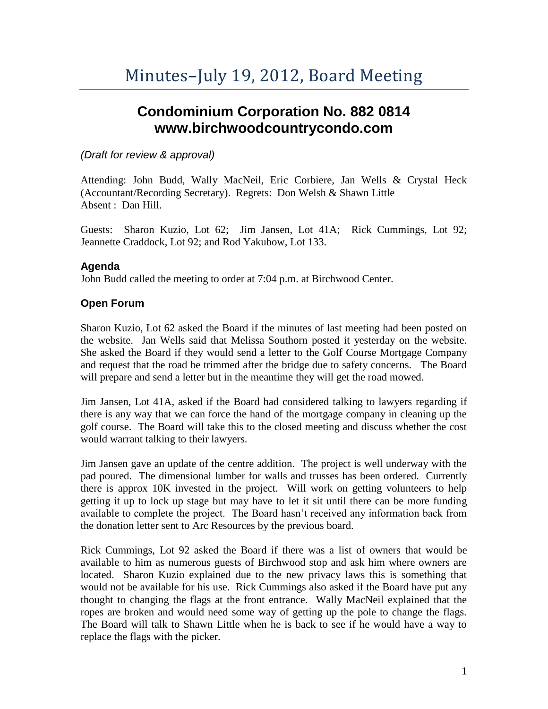# **Condominium Corporation No. 882 0814 www.birchwoodcountrycondo.com**

## *(Draft for review & approval)*

Attending: John Budd, Wally MacNeil, Eric Corbiere, Jan Wells & Crystal Heck (Accountant/Recording Secretary). Regrets: Don Welsh & Shawn Little Absent : Dan Hill.

Guests: Sharon Kuzio, Lot 62; Jim Jansen, Lot 41A; Rick Cummings, Lot 92; Jeannette Craddock, Lot 92; and Rod Yakubow, Lot 133.

## **Agenda**

John Budd called the meeting to order at 7:04 p.m. at Birchwood Center.

## **Open Forum**

Sharon Kuzio, Lot 62 asked the Board if the minutes of last meeting had been posted on the website. Jan Wells said that Melissa Southorn posted it yesterday on the website. She asked the Board if they would send a letter to the Golf Course Mortgage Company and request that the road be trimmed after the bridge due to safety concerns. The Board will prepare and send a letter but in the meantime they will get the road mowed.

Jim Jansen, Lot 41A, asked if the Board had considered talking to lawyers regarding if there is any way that we can force the hand of the mortgage company in cleaning up the golf course. The Board will take this to the closed meeting and discuss whether the cost would warrant talking to their lawyers.

Jim Jansen gave an update of the centre addition. The project is well underway with the pad poured. The dimensional lumber for walls and trusses has been ordered. Currently there is approx 10K invested in the project. Will work on getting volunteers to help getting it up to lock up stage but may have to let it sit until there can be more funding available to complete the project. The Board hasn't received any information back from the donation letter sent to Arc Resources by the previous board.

Rick Cummings, Lot 92 asked the Board if there was a list of owners that would be available to him as numerous guests of Birchwood stop and ask him where owners are located. Sharon Kuzio explained due to the new privacy laws this is something that would not be available for his use. Rick Cummings also asked if the Board have put any thought to changing the flags at the front entrance. Wally MacNeil explained that the ropes are broken and would need some way of getting up the pole to change the flags. The Board will talk to Shawn Little when he is back to see if he would have a way to replace the flags with the picker.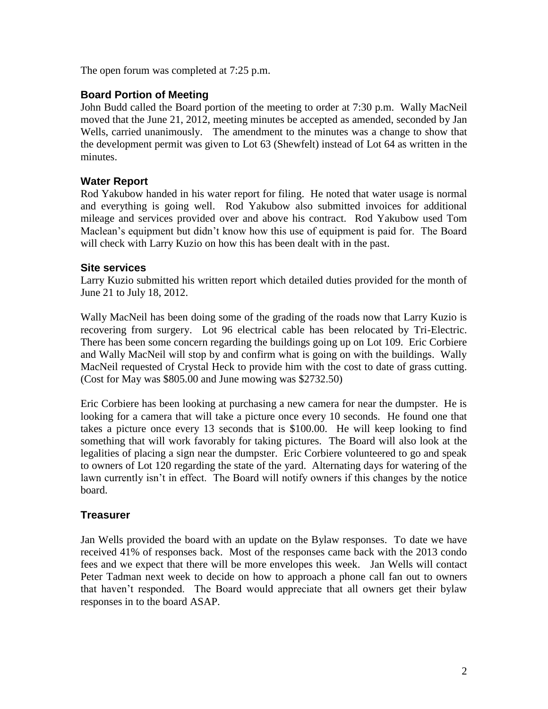The open forum was completed at 7:25 p.m.

## **Board Portion of Meeting**

John Budd called the Board portion of the meeting to order at 7:30 p.m. Wally MacNeil moved that the June 21, 2012, meeting minutes be accepted as amended, seconded by Jan Wells, carried unanimously. The amendment to the minutes was a change to show that the development permit was given to Lot 63 (Shewfelt) instead of Lot 64 as written in the minutes.

## **Water Report**

Rod Yakubow handed in his water report for filing. He noted that water usage is normal and everything is going well. Rod Yakubow also submitted invoices for additional mileage and services provided over and above his contract. Rod Yakubow used Tom Maclean's equipment but didn't know how this use of equipment is paid for. The Board will check with Larry Kuzio on how this has been dealt with in the past.

## **Site services**

Larry Kuzio submitted his written report which detailed duties provided for the month of June 21 to July 18, 2012.

Wally MacNeil has been doing some of the grading of the roads now that Larry Kuzio is recovering from surgery. Lot 96 electrical cable has been relocated by Tri-Electric. There has been some concern regarding the buildings going up on Lot 109. Eric Corbiere and Wally MacNeil will stop by and confirm what is going on with the buildings. Wally MacNeil requested of Crystal Heck to provide him with the cost to date of grass cutting. (Cost for May was \$805.00 and June mowing was \$2732.50)

Eric Corbiere has been looking at purchasing a new camera for near the dumpster. He is looking for a camera that will take a picture once every 10 seconds. He found one that takes a picture once every 13 seconds that is \$100.00. He will keep looking to find something that will work favorably for taking pictures. The Board will also look at the legalities of placing a sign near the dumpster. Eric Corbiere volunteered to go and speak to owners of Lot 120 regarding the state of the yard. Alternating days for watering of the lawn currently isn't in effect. The Board will notify owners if this changes by the notice board.

## **Treasurer**

Jan Wells provided the board with an update on the Bylaw responses. To date we have received 41% of responses back. Most of the responses came back with the 2013 condo fees and we expect that there will be more envelopes this week. Jan Wells will contact Peter Tadman next week to decide on how to approach a phone call fan out to owners that haven't responded. The Board would appreciate that all owners get their bylaw responses in to the board ASAP.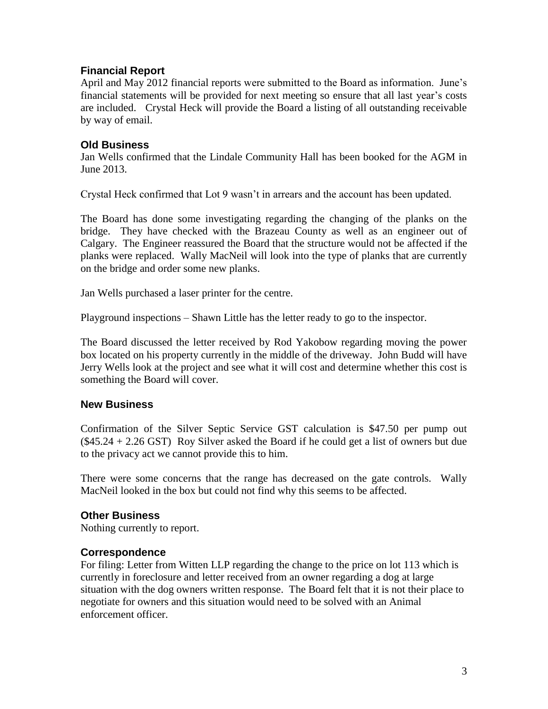## **Financial Report**

April and May 2012 financial reports were submitted to the Board as information. June's financial statements will be provided for next meeting so ensure that all last year's costs are included. Crystal Heck will provide the Board a listing of all outstanding receivable by way of email.

## **Old Business**

Jan Wells confirmed that the Lindale Community Hall has been booked for the AGM in June 2013.

Crystal Heck confirmed that Lot 9 wasn't in arrears and the account has been updated.

The Board has done some investigating regarding the changing of the planks on the bridge. They have checked with the Brazeau County as well as an engineer out of Calgary. The Engineer reassured the Board that the structure would not be affected if the planks were replaced. Wally MacNeil will look into the type of planks that are currently on the bridge and order some new planks.

Jan Wells purchased a laser printer for the centre.

Playground inspections – Shawn Little has the letter ready to go to the inspector.

The Board discussed the letter received by Rod Yakobow regarding moving the power box located on his property currently in the middle of the driveway. John Budd will have Jerry Wells look at the project and see what it will cost and determine whether this cost is something the Board will cover.

## **New Business**

Confirmation of the Silver Septic Service GST calculation is \$47.50 per pump out  $(\$45.24 + 2.26$  GST) Roy Silver asked the Board if he could get a list of owners but due to the privacy act we cannot provide this to him.

There were some concerns that the range has decreased on the gate controls. Wally MacNeil looked in the box but could not find why this seems to be affected.

## **Other Business**

Nothing currently to report.

## **Correspondence**

For filing: Letter from Witten LLP regarding the change to the price on lot 113 which is currently in foreclosure and letter received from an owner regarding a dog at large situation with the dog owners written response. The Board felt that it is not their place to negotiate for owners and this situation would need to be solved with an Animal enforcement officer.